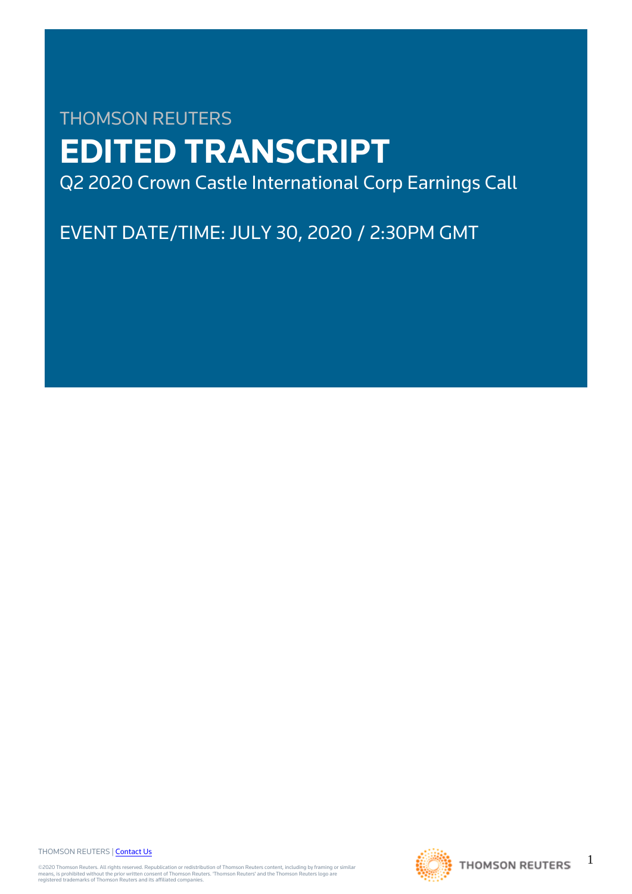# THOMSON REUTERS **EDITED TRANSCRIPT** Q2 2020 Crown Castle International Corp Earnings Call

EVENT DATE/TIME: JULY 30, 2020 / 2:30PM GMT

THOMSON REUTERS | [Contact Us](https://my.thomsonreuters.com/ContactUsNew)

©2020 Thomson Reuters. All rights reserved. Republication or redistribution of Thomson Reuters content, including by framing or similar<br>means, is prohibited without the prior written consent of Thomson Reuters. 'Thomson Re



1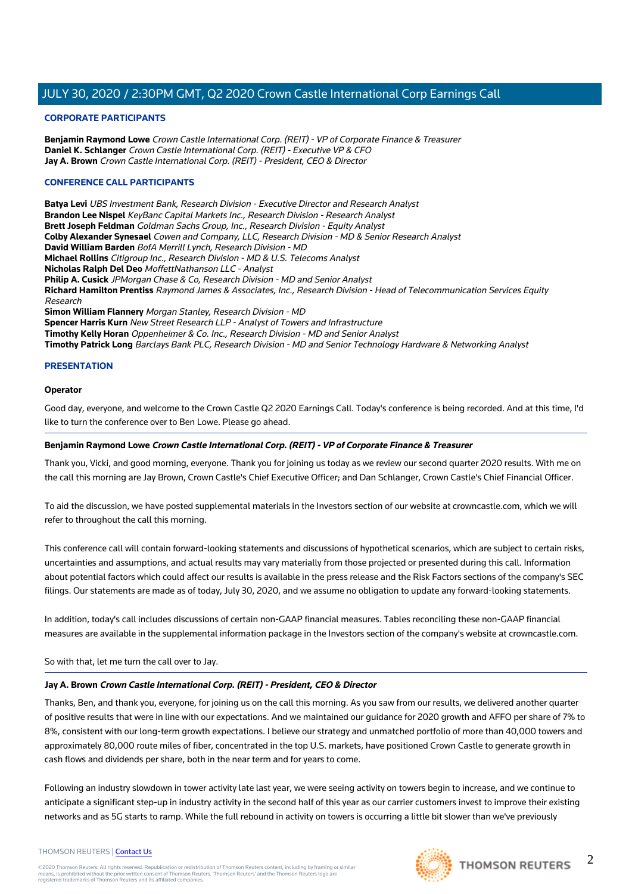### **CORPORATE PARTICIPANTS**

**Benjamin Raymond Lowe** Crown Castle International Corp. (REIT) - VP of Corporate Finance & Treasurer **Daniel K. Schlanger** Crown Castle International Corp. (REIT) - Executive VP & CFO **Jay A. Brown** Crown Castle International Corp. (REIT) - President, CEO & Director

### **CONFERENCE CALL PARTICIPANTS**

**Batya Levi** UBS Investment Bank, Research Division - Executive Director and Research Analyst **Brandon Lee Nispel** KeyBanc Capital Markets Inc., Research Division - Research Analyst **Brett Joseph Feldman** Goldman Sachs Group, Inc., Research Division - Equity Analyst **Colby Alexander Synesael** Cowen and Company, LLC, Research Division - MD & Senior Research Analyst **David William Barden** BofA Merrill Lynch, Research Division - MD **Michael Rollins** Citigroup Inc., Research Division - MD & U.S. Telecoms Analyst **Nicholas Ralph Del Deo** MoffettNathanson LLC - Analyst **Philip A. Cusick** JPMorgan Chase & Co, Research Division - MD and Senior Analyst **Richard Hamilton Prentiss** Raymond James & Associates, Inc., Research Division - Head of Telecommunication Services Equity Research **Simon William Flannery** Morgan Stanley, Research Division - MD **Spencer Harris Kurn** New Street Research LLP - Analyst of Towers and Infrastructure **Timothy Kelly Horan** Oppenheimer & Co. Inc., Research Division - MD and Senior Analyst **Timothy Patrick Long** Barclays Bank PLC, Research Division - MD and Senior Technology Hardware & Networking Analyst

### **PRESENTATION**

### **Operator**

Good day, everyone, and welcome to the Crown Castle Q2 2020 Earnings Call. Today's conference is being recorded. And at this time, I'd like to turn the conference over to Ben Lowe. Please go ahead.

### **Benjamin Raymond Lowe Crown Castle International Corp. (REIT) - VP of Corporate Finance & Treasurer**

Thank you, Vicki, and good morning, everyone. Thank you for joining us today as we review our second quarter 2020 results. With me on the call this morning are Jay Brown, Crown Castle's Chief Executive Officer; and Dan Schlanger, Crown Castle's Chief Financial Officer.

To aid the discussion, we have posted supplemental materials in the Investors section of our website at crowncastle.com, which we will refer to throughout the call this morning.

This conference call will contain forward-looking statements and discussions of hypothetical scenarios, which are subject to certain risks, uncertainties and assumptions, and actual results may vary materially from those projected or presented during this call. Information about potential factors which could affect our results is available in the press release and the Risk Factors sections of the company's SEC filings. Our statements are made as of today, July 30, 2020, and we assume no obligation to update any forward-looking statements.

In addition, today's call includes discussions of certain non-GAAP financial measures. Tables reconciling these non-GAAP financial measures are available in the supplemental information package in the Investors section of the company's website at crowncastle.com.

So with that, let me turn the call over to Jay.

### **Jay A. Brown Crown Castle International Corp. (REIT) - President, CEO & Director**

Thanks, Ben, and thank you, everyone, for joining us on the call this morning. As you saw from our results, we delivered another quarter of positive results that were in line with our expectations. And we maintained our guidance for 2020 growth and AFFO per share of 7% to 8%, consistent with our long-term growth expectations. I believe our strategy and unmatched portfolio of more than 40,000 towers and approximately 80,000 route miles of fiber, concentrated in the top U.S. markets, have positioned Crown Castle to generate growth in cash flows and dividends per share, both in the near term and for years to come.

Following an industry slowdown in tower activity late last year, we were seeing activity on towers begin to increase, and we continue to anticipate a significant step-up in industry activity in the second half of this year as our carrier customers invest to improve their existing networks and as 5G starts to ramp. While the full rebound in activity on towers is occurring a little bit slower than we've previously

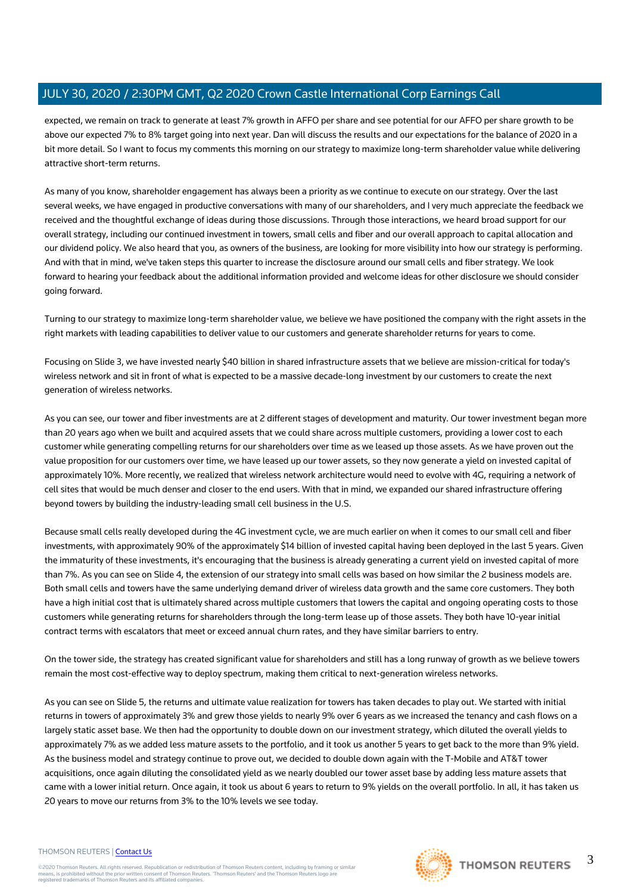expected, we remain on track to generate at least 7% growth in AFFO per share and see potential for our AFFO per share growth to be above our expected 7% to 8% target going into next year. Dan will discuss the results and our expectations for the balance of 2020 in a bit more detail. So I want to focus my comments this morning on our strategy to maximize long-term shareholder value while delivering attractive short-term returns.

As many of you know, shareholder engagement has always been a priority as we continue to execute on our strategy. Over the last several weeks, we have engaged in productive conversations with many of our shareholders, and I very much appreciate the feedback we received and the thoughtful exchange of ideas during those discussions. Through those interactions, we heard broad support for our overall strategy, including our continued investment in towers, small cells and fiber and our overall approach to capital allocation and our dividend policy. We also heard that you, as owners of the business, are looking for more visibility into how our strategy is performing. And with that in mind, we've taken steps this quarter to increase the disclosure around our small cells and fiber strategy. We look forward to hearing your feedback about the additional information provided and welcome ideas for other disclosure we should consider going forward.

Turning to our strategy to maximize long-term shareholder value, we believe we have positioned the company with the right assets in the right markets with leading capabilities to deliver value to our customers and generate shareholder returns for years to come.

Focusing on Slide 3, we have invested nearly \$40 billion in shared infrastructure assets that we believe are mission-critical for today's wireless network and sit in front of what is expected to be a massive decade-long investment by our customers to create the next generation of wireless networks.

As you can see, our tower and fiber investments are at 2 different stages of development and maturity. Our tower investment began more than 20 years ago when we built and acquired assets that we could share across multiple customers, providing a lower cost to each customer while generating compelling returns for our shareholders over time as we leased up those assets. As we have proven out the value proposition for our customers over time, we have leased up our tower assets, so they now generate a yield on invested capital of approximately 10%. More recently, we realized that wireless network architecture would need to evolve with 4G, requiring a network of cell sites that would be much denser and closer to the end users. With that in mind, we expanded our shared infrastructure offering beyond towers by building the industry-leading small cell business in the U.S.

Because small cells really developed during the 4G investment cycle, we are much earlier on when it comes to our small cell and fiber investments, with approximately 90% of the approximately \$14 billion of invested capital having been deployed in the last 5 years. Given the immaturity of these investments, it's encouraging that the business is already generating a current yield on invested capital of more than 7%. As you can see on Slide 4, the extension of our strategy into small cells was based on how similar the 2 business models are. Both small cells and towers have the same underlying demand driver of wireless data growth and the same core customers. They both have a high initial cost that is ultimately shared across multiple customers that lowers the capital and ongoing operating costs to those customers while generating returns for shareholders through the long-term lease up of those assets. They both have 10-year initial contract terms with escalators that meet or exceed annual churn rates, and they have similar barriers to entry.

On the tower side, the strategy has created significant value for shareholders and still has a long runway of growth as we believe towers remain the most cost-effective way to deploy spectrum, making them critical to next-generation wireless networks.

As you can see on Slide 5, the returns and ultimate value realization for towers has taken decades to play out. We started with initial returns in towers of approximately 3% and grew those yields to nearly 9% over 6 years as we increased the tenancy and cash flows on a largely static asset base. We then had the opportunity to double down on our investment strategy, which diluted the overall yields to approximately 7% as we added less mature assets to the portfolio, and it took us another 5 years to get back to the more than 9% yield. As the business model and strategy continue to prove out, we decided to double down again with the T-Mobile and AT&T tower acquisitions, once again diluting the consolidated yield as we nearly doubled our tower asset base by adding less mature assets that came with a lower initial return. Once again, it took us about 6 years to return to 9% yields on the overall portfolio. In all, it has taken us 20 years to move our returns from 3% to the 10% levels we see today.

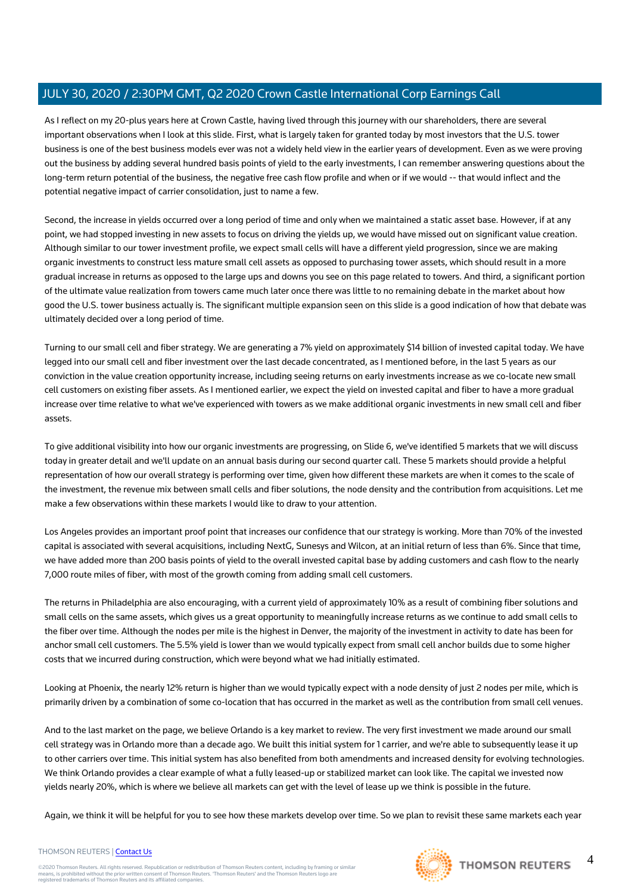As I reflect on my 20-plus years here at Crown Castle, having lived through this journey with our shareholders, there are several important observations when I look at this slide. First, what is largely taken for granted today by most investors that the U.S. tower business is one of the best business models ever was not a widely held view in the earlier years of development. Even as we were proving out the business by adding several hundred basis points of yield to the early investments, I can remember answering questions about the long-term return potential of the business, the negative free cash flow profile and when or if we would -- that would inflect and the potential negative impact of carrier consolidation, just to name a few.

Second, the increase in yields occurred over a long period of time and only when we maintained a static asset base. However, if at any point, we had stopped investing in new assets to focus on driving the yields up, we would have missed out on significant value creation. Although similar to our tower investment profile, we expect small cells will have a different yield progression, since we are making organic investments to construct less mature small cell assets as opposed to purchasing tower assets, which should result in a more gradual increase in returns as opposed to the large ups and downs you see on this page related to towers. And third, a significant portion of the ultimate value realization from towers came much later once there was little to no remaining debate in the market about how good the U.S. tower business actually is. The significant multiple expansion seen on this slide is a good indication of how that debate was ultimately decided over a long period of time.

Turning to our small cell and fiber strategy. We are generating a 7% yield on approximately \$14 billion of invested capital today. We have legged into our small cell and fiber investment over the last decade concentrated, as I mentioned before, in the last 5 years as our conviction in the value creation opportunity increase, including seeing returns on early investments increase as we co-locate new small cell customers on existing fiber assets. As I mentioned earlier, we expect the yield on invested capital and fiber to have a more gradual increase over time relative to what we've experienced with towers as we make additional organic investments in new small cell and fiber assets.

To give additional visibility into how our organic investments are progressing, on Slide 6, we've identified 5 markets that we will discuss today in greater detail and we'll update on an annual basis during our second quarter call. These 5 markets should provide a helpful representation of how our overall strategy is performing over time, given how different these markets are when it comes to the scale of the investment, the revenue mix between small cells and fiber solutions, the node density and the contribution from acquisitions. Let me make a few observations within these markets I would like to draw to your attention.

Los Angeles provides an important proof point that increases our confidence that our strategy is working. More than 70% of the invested capital is associated with several acquisitions, including NextG, Sunesys and Wilcon, at an initial return of less than 6%. Since that time, we have added more than 200 basis points of yield to the overall invested capital base by adding customers and cash flow to the nearly 7,000 route miles of fiber, with most of the growth coming from adding small cell customers.

The returns in Philadelphia are also encouraging, with a current yield of approximately 10% as a result of combining fiber solutions and small cells on the same assets, which gives us a great opportunity to meaningfully increase returns as we continue to add small cells to the fiber over time. Although the nodes per mile is the highest in Denver, the majority of the investment in activity to date has been for anchor small cell customers. The 5.5% yield is lower than we would typically expect from small cell anchor builds due to some higher costs that we incurred during construction, which were beyond what we had initially estimated.

Looking at Phoenix, the nearly 12% return is higher than we would typically expect with a node density of just 2 nodes per mile, which is primarily driven by a combination of some co-location that has occurred in the market as well as the contribution from small cell venues.

And to the last market on the page, we believe Orlando is a key market to review. The very first investment we made around our small cell strategy was in Orlando more than a decade ago. We built this initial system for 1 carrier, and we're able to subsequently lease it up to other carriers over time. This initial system has also benefited from both amendments and increased density for evolving technologies. We think Orlando provides a clear example of what a fully leased-up or stabilized market can look like. The capital we invested now yields nearly 20%, which is where we believe all markets can get with the level of lease up we think is possible in the future.

Again, we think it will be helpful for you to see how these markets develop over time. So we plan to revisit these same markets each year



4

### THOMSON REUTERS | [Contact Us](https://my.thomsonreuters.com/ContactUsNew)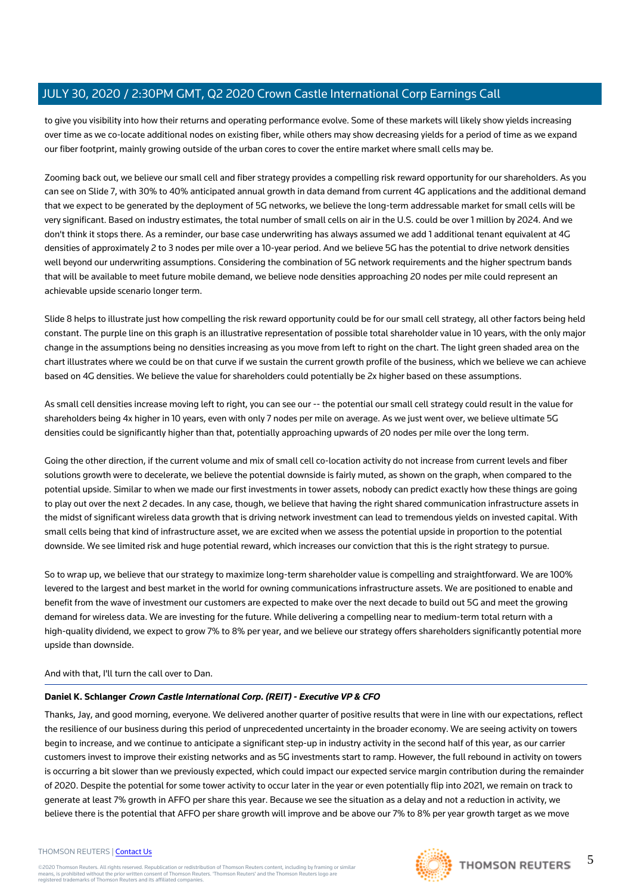to give you visibility into how their returns and operating performance evolve. Some of these markets will likely show yields increasing over time as we co-locate additional nodes on existing fiber, while others may show decreasing yields for a period of time as we expand our fiber footprint, mainly growing outside of the urban cores to cover the entire market where small cells may be.

Zooming back out, we believe our small cell and fiber strategy provides a compelling risk reward opportunity for our shareholders. As you can see on Slide 7, with 30% to 40% anticipated annual growth in data demand from current 4G applications and the additional demand that we expect to be generated by the deployment of 5G networks, we believe the long-term addressable market for small cells will be very significant. Based on industry estimates, the total number of small cells on air in the U.S. could be over 1 million by 2024. And we don't think it stops there. As a reminder, our base case underwriting has always assumed we add 1 additional tenant equivalent at 4G densities of approximately 2 to 3 nodes per mile over a 10-year period. And we believe 5G has the potential to drive network densities well beyond our underwriting assumptions. Considering the combination of 5G network requirements and the higher spectrum bands that will be available to meet future mobile demand, we believe node densities approaching 20 nodes per mile could represent an achievable upside scenario longer term.

Slide 8 helps to illustrate just how compelling the risk reward opportunity could be for our small cell strategy, all other factors being held constant. The purple line on this graph is an illustrative representation of possible total shareholder value in 10 years, with the only major change in the assumptions being no densities increasing as you move from left to right on the chart. The light green shaded area on the chart illustrates where we could be on that curve if we sustain the current growth profile of the business, which we believe we can achieve based on 4G densities. We believe the value for shareholders could potentially be 2x higher based on these assumptions.

As small cell densities increase moving left to right, you can see our -- the potential our small cell strategy could result in the value for shareholders being 4x higher in 10 years, even with only 7 nodes per mile on average. As we just went over, we believe ultimate 5G densities could be significantly higher than that, potentially approaching upwards of 20 nodes per mile over the long term.

Going the other direction, if the current volume and mix of small cell co-location activity do not increase from current levels and fiber solutions growth were to decelerate, we believe the potential downside is fairly muted, as shown on the graph, when compared to the potential upside. Similar to when we made our first investments in tower assets, nobody can predict exactly how these things are going to play out over the next 2 decades. In any case, though, we believe that having the right shared communication infrastructure assets in the midst of significant wireless data growth that is driving network investment can lead to tremendous yields on invested capital. With small cells being that kind of infrastructure asset, we are excited when we assess the potential upside in proportion to the potential downside. We see limited risk and huge potential reward, which increases our conviction that this is the right strategy to pursue.

So to wrap up, we believe that our strategy to maximize long-term shareholder value is compelling and straightforward. We are 100% levered to the largest and best market in the world for owning communications infrastructure assets. We are positioned to enable and benefit from the wave of investment our customers are expected to make over the next decade to build out 5G and meet the growing demand for wireless data. We are investing for the future. While delivering a compelling near to medium-term total return with a high-quality dividend, we expect to grow 7% to 8% per year, and we believe our strategy offers shareholders significantly potential more upside than downside.

### And with that, I'll turn the call over to Dan.

### **Daniel K. Schlanger Crown Castle International Corp. (REIT) - Executive VP & CFO**

Thanks, Jay, and good morning, everyone. We delivered another quarter of positive results that were in line with our expectations, reflect the resilience of our business during this period of unprecedented uncertainty in the broader economy. We are seeing activity on towers begin to increase, and we continue to anticipate a significant step-up in industry activity in the second half of this year, as our carrier customers invest to improve their existing networks and as 5G investments start to ramp. However, the full rebound in activity on towers is occurring a bit slower than we previously expected, which could impact our expected service margin contribution during the remainder of 2020. Despite the potential for some tower activity to occur later in the year or even potentially flip into 2021, we remain on track to generate at least 7% growth in AFFO per share this year. Because we see the situation as a delay and not a reduction in activity, we believe there is the potential that AFFO per share growth will improve and be above our 7% to 8% per year growth target as we move

#### THOMSON REUTERS | [Contact Us](https://my.thomsonreuters.com/ContactUsNew)

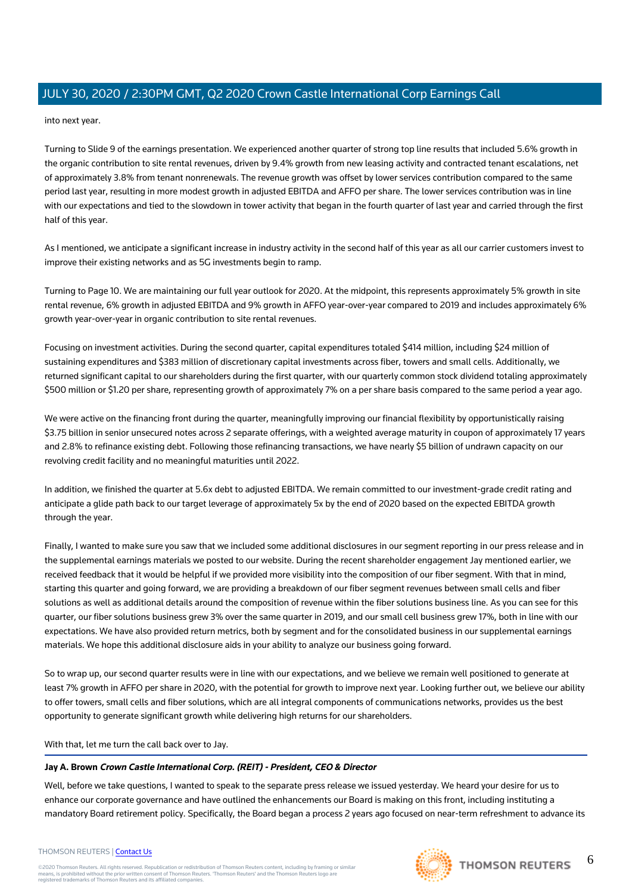into next year.

Turning to Slide 9 of the earnings presentation. We experienced another quarter of strong top line results that included 5.6% growth in the organic contribution to site rental revenues, driven by 9.4% growth from new leasing activity and contracted tenant escalations, net of approximately 3.8% from tenant nonrenewals. The revenue growth was offset by lower services contribution compared to the same period last year, resulting in more modest growth in adjusted EBITDA and AFFO per share. The lower services contribution was in line with our expectations and tied to the slowdown in tower activity that began in the fourth quarter of last year and carried through the first half of this year.

As I mentioned, we anticipate a significant increase in industry activity in the second half of this year as all our carrier customers invest to improve their existing networks and as 5G investments begin to ramp.

Turning to Page 10. We are maintaining our full year outlook for 2020. At the midpoint, this represents approximately 5% growth in site rental revenue, 6% growth in adjusted EBITDA and 9% growth in AFFO year-over-year compared to 2019 and includes approximately 6% growth year-over-year in organic contribution to site rental revenues.

Focusing on investment activities. During the second quarter, capital expenditures totaled \$414 million, including \$24 million of sustaining expenditures and \$383 million of discretionary capital investments across fiber, towers and small cells. Additionally, we returned significant capital to our shareholders during the first quarter, with our quarterly common stock dividend totaling approximately \$500 million or \$1.20 per share, representing growth of approximately 7% on a per share basis compared to the same period a year ago.

We were active on the financing front during the quarter, meaningfully improving our financial flexibility by opportunistically raising \$3.75 billion in senior unsecured notes across 2 separate offerings, with a weighted average maturity in coupon of approximately 17 years and 2.8% to refinance existing debt. Following those refinancing transactions, we have nearly \$5 billion of undrawn capacity on our revolving credit facility and no meaningful maturities until 2022.

In addition, we finished the quarter at 5.6x debt to adjusted EBITDA. We remain committed to our investment-grade credit rating and anticipate a glide path back to our target leverage of approximately 5x by the end of 2020 based on the expected EBITDA growth through the year.

Finally, I wanted to make sure you saw that we included some additional disclosures in our segment reporting in our press release and in the supplemental earnings materials we posted to our website. During the recent shareholder engagement Jay mentioned earlier, we received feedback that it would be helpful if we provided more visibility into the composition of our fiber segment. With that in mind, starting this quarter and going forward, we are providing a breakdown of our fiber segment revenues between small cells and fiber solutions as well as additional details around the composition of revenue within the fiber solutions business line. As you can see for this quarter, our fiber solutions business grew 3% over the same quarter in 2019, and our small cell business grew 17%, both in line with our expectations. We have also provided return metrics, both by segment and for the consolidated business in our supplemental earnings materials. We hope this additional disclosure aids in your ability to analyze our business going forward.

So to wrap up, our second quarter results were in line with our expectations, and we believe we remain well positioned to generate at least 7% growth in AFFO per share in 2020, with the potential for growth to improve next year. Looking further out, we believe our ability to offer towers, small cells and fiber solutions, which are all integral components of communications networks, provides us the best opportunity to generate significant growth while delivering high returns for our shareholders.

With that, let me turn the call back over to Jay.

### **Jay A. Brown Crown Castle International Corp. (REIT) - President, CEO & Director**

Well, before we take questions, I wanted to speak to the separate press release we issued yesterday. We heard your desire for us to enhance our corporate governance and have outlined the enhancements our Board is making on this front, including instituting a mandatory Board retirement policy. Specifically, the Board began a process 2 years ago focused on near-term refreshment to advance its

#### THOMSON REUTERS | [Contact Us](https://my.thomsonreuters.com/ContactUsNew)

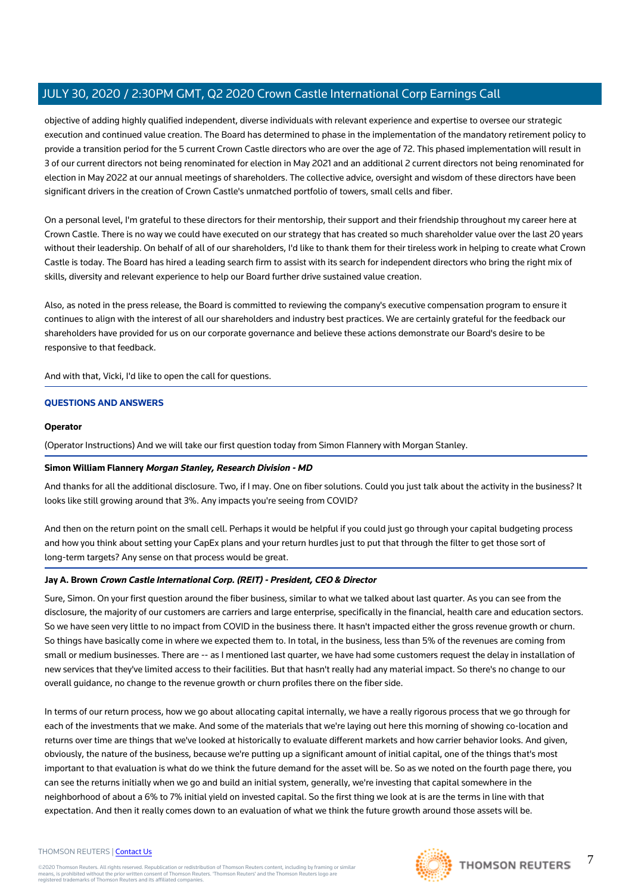objective of adding highly qualified independent, diverse individuals with relevant experience and expertise to oversee our strategic execution and continued value creation. The Board has determined to phase in the implementation of the mandatory retirement policy to provide a transition period for the 5 current Crown Castle directors who are over the age of 72. This phased implementation will result in 3 of our current directors not being renominated for election in May 2021 and an additional 2 current directors not being renominated for election in May 2022 at our annual meetings of shareholders. The collective advice, oversight and wisdom of these directors have been significant drivers in the creation of Crown Castle's unmatched portfolio of towers, small cells and fiber.

On a personal level, I'm grateful to these directors for their mentorship, their support and their friendship throughout my career here at Crown Castle. There is no way we could have executed on our strategy that has created so much shareholder value over the last 20 years without their leadership. On behalf of all of our shareholders, I'd like to thank them for their tireless work in helping to create what Crown Castle is today. The Board has hired a leading search firm to assist with its search for independent directors who bring the right mix of skills, diversity and relevant experience to help our Board further drive sustained value creation.

Also, as noted in the press release, the Board is committed to reviewing the company's executive compensation program to ensure it continues to align with the interest of all our shareholders and industry best practices. We are certainly grateful for the feedback our shareholders have provided for us on our corporate governance and believe these actions demonstrate our Board's desire to be responsive to that feedback.

And with that, Vicki, I'd like to open the call for questions.

### **QUESTIONS AND ANSWERS**

### **Operator**

(Operator Instructions) And we will take our first question today from Simon Flannery with Morgan Stanley.

### **Simon William Flannery Morgan Stanley, Research Division - MD**

And thanks for all the additional disclosure. Two, if I may. One on fiber solutions. Could you just talk about the activity in the business? It looks like still growing around that 3%. Any impacts you're seeing from COVID?

And then on the return point on the small cell. Perhaps it would be helpful if you could just go through your capital budgeting process and how you think about setting your CapEx plans and your return hurdles just to put that through the filter to get those sort of long-term targets? Any sense on that process would be great.

### **Jay A. Brown Crown Castle International Corp. (REIT) - President, CEO & Director**

Sure, Simon. On your first question around the fiber business, similar to what we talked about last quarter. As you can see from the disclosure, the majority of our customers are carriers and large enterprise, specifically in the financial, health care and education sectors. So we have seen very little to no impact from COVID in the business there. It hasn't impacted either the gross revenue growth or churn. So things have basically come in where we expected them to. In total, in the business, less than 5% of the revenues are coming from small or medium businesses. There are -- as I mentioned last quarter, we have had some customers request the delay in installation of new services that they've limited access to their facilities. But that hasn't really had any material impact. So there's no change to our overall guidance, no change to the revenue growth or churn profiles there on the fiber side.

In terms of our return process, how we go about allocating capital internally, we have a really rigorous process that we go through for each of the investments that we make. And some of the materials that we're laying out here this morning of showing co-location and returns over time are things that we've looked at historically to evaluate different markets and how carrier behavior looks. And given, obviously, the nature of the business, because we're putting up a significant amount of initial capital, one of the things that's most important to that evaluation is what do we think the future demand for the asset will be. So as we noted on the fourth page there, you can see the returns initially when we go and build an initial system, generally, we're investing that capital somewhere in the neighborhood of about a 6% to 7% initial yield on invested capital. So the first thing we look at is are the terms in line with that expectation. And then it really comes down to an evaluation of what we think the future growth around those assets will be.

#### THOMSON REUTERS | [Contact Us](https://my.thomsonreuters.com/ContactUsNew)

©2020 Thomson Reuters. All rights reserved. Republication or redistribution of Thomson Reuters content, including by framing or similar<br>means, is prohibited without the prior written consent of Thomson Reuters. 'Thomson Re



7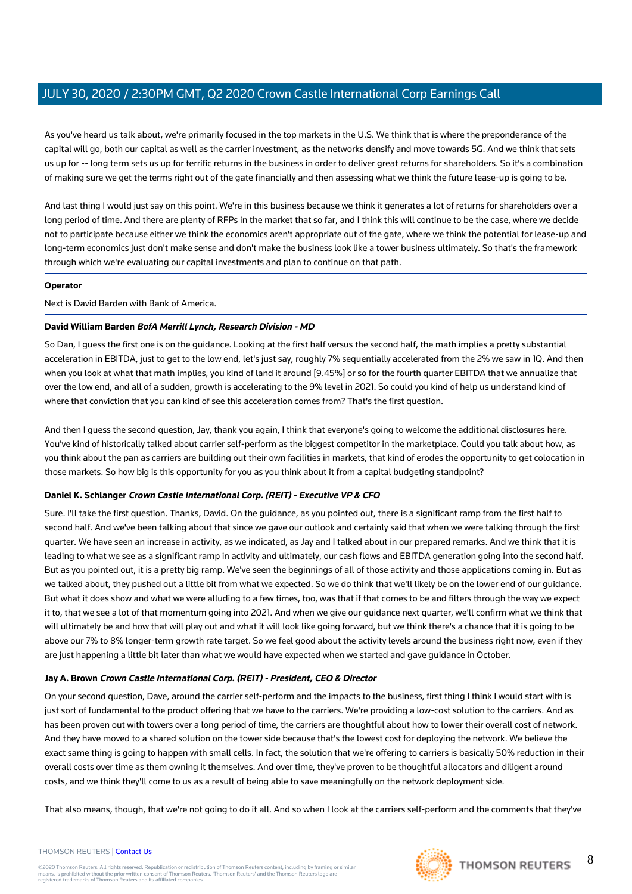As you've heard us talk about, we're primarily focused in the top markets in the U.S. We think that is where the preponderance of the capital will go, both our capital as well as the carrier investment, as the networks densify and move towards 5G. And we think that sets us up for -- long term sets us up for terrific returns in the business in order to deliver great returns for shareholders. So it's a combination of making sure we get the terms right out of the gate financially and then assessing what we think the future lease-up is going to be.

And last thing I would just say on this point. We're in this business because we think it generates a lot of returns for shareholders over a long period of time. And there are plenty of RFPs in the market that so far, and I think this will continue to be the case, where we decide not to participate because either we think the economics aren't appropriate out of the gate, where we think the potential for lease-up and long-term economics just don't make sense and don't make the business look like a tower business ultimately. So that's the framework through which we're evaluating our capital investments and plan to continue on that path.

### **Operator**

Next is David Barden with Bank of America.

### **David William Barden BofA Merrill Lynch, Research Division - MD**

So Dan, I guess the first one is on the guidance. Looking at the first half versus the second half, the math implies a pretty substantial acceleration in EBITDA, just to get to the low end, let's just say, roughly 7% sequentially accelerated from the 2% we saw in 1Q. And then when you look at what that math implies, you kind of land it around [9.45%] or so for the fourth quarter EBITDA that we annualize that over the low end, and all of a sudden, growth is accelerating to the 9% level in 2021. So could you kind of help us understand kind of where that conviction that you can kind of see this acceleration comes from? That's the first question.

And then I guess the second question, Jay, thank you again, I think that everyone's going to welcome the additional disclosures here. You've kind of historically talked about carrier self-perform as the biggest competitor in the marketplace. Could you talk about how, as you think about the pan as carriers are building out their own facilities in markets, that kind of erodes the opportunity to get colocation in those markets. So how big is this opportunity for you as you think about it from a capital budgeting standpoint?

### **Daniel K. Schlanger Crown Castle International Corp. (REIT) - Executive VP & CFO**

Sure. I'll take the first question. Thanks, David. On the guidance, as you pointed out, there is a significant ramp from the first half to second half. And we've been talking about that since we gave our outlook and certainly said that when we were talking through the first quarter. We have seen an increase in activity, as we indicated, as Jay and I talked about in our prepared remarks. And we think that it is leading to what we see as a significant ramp in activity and ultimately, our cash flows and EBITDA generation going into the second half. But as you pointed out, it is a pretty big ramp. We've seen the beginnings of all of those activity and those applications coming in. But as we talked about, they pushed out a little bit from what we expected. So we do think that we'll likely be on the lower end of our guidance. But what it does show and what we were alluding to a few times, too, was that if that comes to be and filters through the way we expect it to, that we see a lot of that momentum going into 2021. And when we give our guidance next quarter, we'll confirm what we think that will ultimately be and how that will play out and what it will look like going forward, but we think there's a chance that it is going to be above our 7% to 8% longer-term growth rate target. So we feel good about the activity levels around the business right now, even if they are just happening a little bit later than what we would have expected when we started and gave guidance in October.

### **Jay A. Brown Crown Castle International Corp. (REIT) - President, CEO & Director**

On your second question, Dave, around the carrier self-perform and the impacts to the business, first thing I think I would start with is just sort of fundamental to the product offering that we have to the carriers. We're providing a low-cost solution to the carriers. And as has been proven out with towers over a long period of time, the carriers are thoughtful about how to lower their overall cost of network. And they have moved to a shared solution on the tower side because that's the lowest cost for deploying the network. We believe the exact same thing is going to happen with small cells. In fact, the solution that we're offering to carriers is basically 50% reduction in their overall costs over time as them owning it themselves. And over time, they've proven to be thoughtful allocators and diligent around costs, and we think they'll come to us as a result of being able to save meaningfully on the network deployment side.

That also means, though, that we're not going to do it all. And so when I look at the carriers self-perform and the comments that they've

#### THOMSON REUTERS | [Contact Us](https://my.thomsonreuters.com/ContactUsNew)

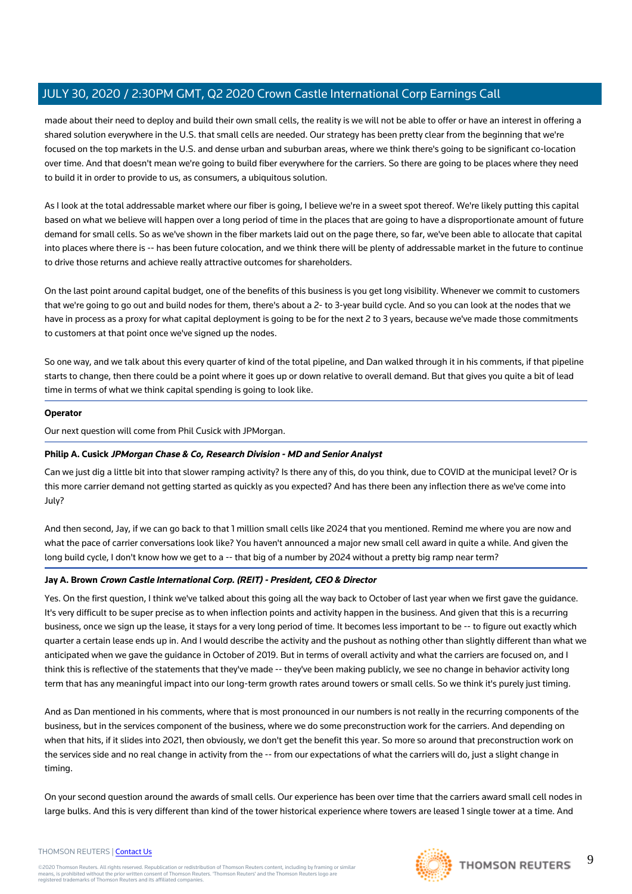made about their need to deploy and build their own small cells, the reality is we will not be able to offer or have an interest in offering a shared solution everywhere in the U.S. that small cells are needed. Our strategy has been pretty clear from the beginning that we're focused on the top markets in the U.S. and dense urban and suburban areas, where we think there's going to be significant co-location over time. And that doesn't mean we're going to build fiber everywhere for the carriers. So there are going to be places where they need to build it in order to provide to us, as consumers, a ubiquitous solution.

As I look at the total addressable market where our fiber is going, I believe we're in a sweet spot thereof. We're likely putting this capital based on what we believe will happen over a long period of time in the places that are going to have a disproportionate amount of future demand for small cells. So as we've shown in the fiber markets laid out on the page there, so far, we've been able to allocate that capital into places where there is -- has been future colocation, and we think there will be plenty of addressable market in the future to continue to drive those returns and achieve really attractive outcomes for shareholders.

On the last point around capital budget, one of the benefits of this business is you get long visibility. Whenever we commit to customers that we're going to go out and build nodes for them, there's about a 2- to 3-year build cycle. And so you can look at the nodes that we have in process as a proxy for what capital deployment is going to be for the next 2 to 3 years, because we've made those commitments to customers at that point once we've signed up the nodes.

So one way, and we talk about this every quarter of kind of the total pipeline, and Dan walked through it in his comments, if that pipeline starts to change, then there could be a point where it goes up or down relative to overall demand. But that gives you quite a bit of lead time in terms of what we think capital spending is going to look like.

### **Operator**

Our next question will come from Phil Cusick with JPMorgan.

### **Philip A. Cusick JPMorgan Chase & Co, Research Division - MD and Senior Analyst**

Can we just dig a little bit into that slower ramping activity? Is there any of this, do you think, due to COVID at the municipal level? Or is this more carrier demand not getting started as quickly as you expected? And has there been any inflection there as we've come into July?

And then second, Jay, if we can go back to that 1 million small cells like 2024 that you mentioned. Remind me where you are now and what the pace of carrier conversations look like? You haven't announced a major new small cell award in quite a while. And given the long build cycle, I don't know how we get to a -- that big of a number by 2024 without a pretty big ramp near term?

### **Jay A. Brown Crown Castle International Corp. (REIT) - President, CEO & Director**

Yes. On the first question, I think we've talked about this going all the way back to October of last year when we first gave the guidance. It's very difficult to be super precise as to when inflection points and activity happen in the business. And given that this is a recurring business, once we sign up the lease, it stays for a very long period of time. It becomes less important to be -- to figure out exactly which quarter a certain lease ends up in. And I would describe the activity and the pushout as nothing other than slightly different than what we anticipated when we gave the guidance in October of 2019. But in terms of overall activity and what the carriers are focused on, and I think this is reflective of the statements that they've made -- they've been making publicly, we see no change in behavior activity long term that has any meaningful impact into our long-term growth rates around towers or small cells. So we think it's purely just timing.

And as Dan mentioned in his comments, where that is most pronounced in our numbers is not really in the recurring components of the business, but in the services component of the business, where we do some preconstruction work for the carriers. And depending on when that hits, if it slides into 2021, then obviously, we don't get the benefit this year. So more so around that preconstruction work on the services side and no real change in activity from the -- from our expectations of what the carriers will do, just a slight change in timing.

On your second question around the awards of small cells. Our experience has been over time that the carriers award small cell nodes in large bulks. And this is very different than kind of the tower historical experience where towers are leased 1 single tower at a time. And

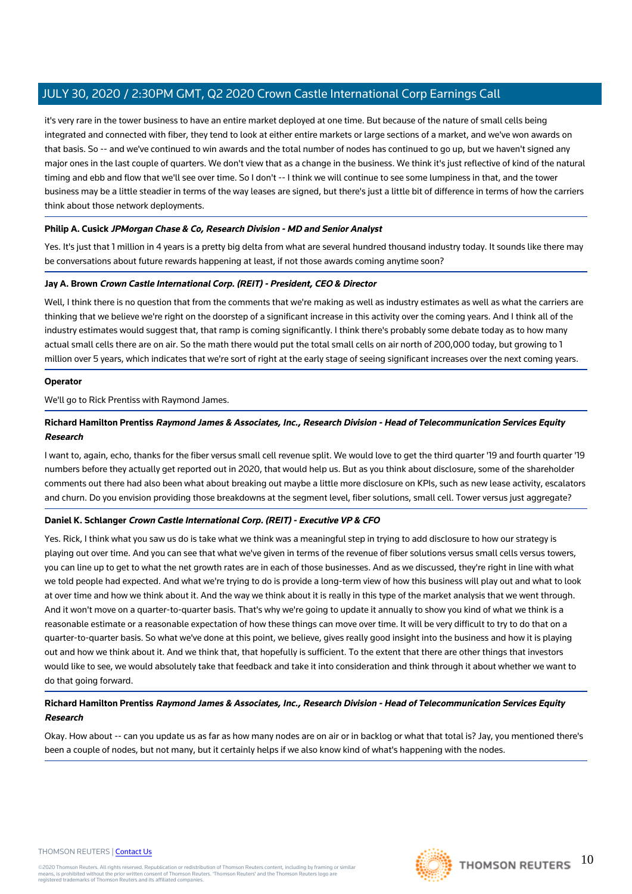it's very rare in the tower business to have an entire market deployed at one time. But because of the nature of small cells being integrated and connected with fiber, they tend to look at either entire markets or large sections of a market, and we've won awards on that basis. So -- and we've continued to win awards and the total number of nodes has continued to go up, but we haven't signed any major ones in the last couple of quarters. We don't view that as a change in the business. We think it's just reflective of kind of the natural timing and ebb and flow that we'll see over time. So I don't -- I think we will continue to see some lumpiness in that, and the tower business may be a little steadier in terms of the way leases are signed, but there's just a little bit of difference in terms of how the carriers think about those network deployments.

### **Philip A. Cusick JPMorgan Chase & Co, Research Division - MD and Senior Analyst**

Yes. It's just that 1 million in 4 years is a pretty big delta from what are several hundred thousand industry today. It sounds like there may be conversations about future rewards happening at least, if not those awards coming anytime soon?

### **Jay A. Brown Crown Castle International Corp. (REIT) - President, CEO & Director**

Well, I think there is no question that from the comments that we're making as well as industry estimates as well as what the carriers are thinking that we believe we're right on the doorstep of a significant increase in this activity over the coming years. And I think all of the industry estimates would suggest that, that ramp is coming significantly. I think there's probably some debate today as to how many actual small cells there are on air. So the math there would put the total small cells on air north of 200,000 today, but growing to 1 million over 5 years, which indicates that we're sort of right at the early stage of seeing significant increases over the next coming years.

### **Operator**

We'll go to Rick Prentiss with Raymond James.

### **Richard Hamilton Prentiss Raymond James & Associates, Inc., Research Division - Head of Telecommunication Services Equity Research**

I want to, again, echo, thanks for the fiber versus small cell revenue split. We would love to get the third quarter '19 and fourth quarter '19 numbers before they actually get reported out in 2020, that would help us. But as you think about disclosure, some of the shareholder comments out there had also been what about breaking out maybe a little more disclosure on KPIs, such as new lease activity, escalators and churn. Do you envision providing those breakdowns at the segment level, fiber solutions, small cell. Tower versus just aggregate?

### **Daniel K. Schlanger Crown Castle International Corp. (REIT) - Executive VP & CFO**

Yes. Rick, I think what you saw us do is take what we think was a meaningful step in trying to add disclosure to how our strategy is playing out over time. And you can see that what we've given in terms of the revenue of fiber solutions versus small cells versus towers, you can line up to get to what the net growth rates are in each of those businesses. And as we discussed, they're right in line with what we told people had expected. And what we're trying to do is provide a long-term view of how this business will play out and what to look at over time and how we think about it. And the way we think about it is really in this type of the market analysis that we went through. And it won't move on a quarter-to-quarter basis. That's why we're going to update it annually to show you kind of what we think is a reasonable estimate or a reasonable expectation of how these things can move over time. It will be very difficult to try to do that on a quarter-to-quarter basis. So what we've done at this point, we believe, gives really good insight into the business and how it is playing out and how we think about it. And we think that, that hopefully is sufficient. To the extent that there are other things that investors would like to see, we would absolutely take that feedback and take it into consideration and think through it about whether we want to do that going forward.

### **Richard Hamilton Prentiss Raymond James & Associates, Inc., Research Division - Head of Telecommunication Services Equity Research**

Okay. How about -- can you update us as far as how many nodes are on air or in backlog or what that total is? Jay, you mentioned there's been a couple of nodes, but not many, but it certainly helps if we also know kind of what's happening with the nodes.

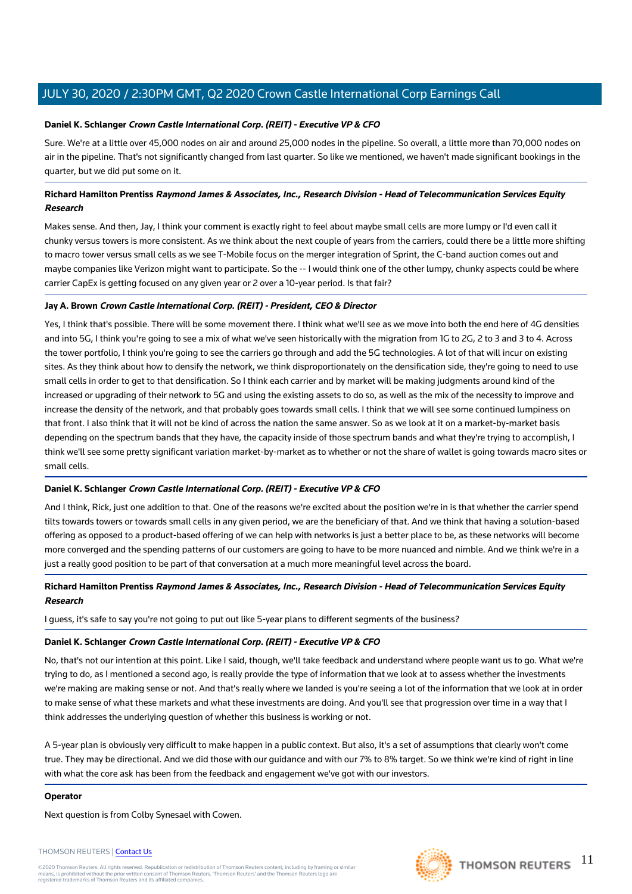### **Daniel K. Schlanger Crown Castle International Corp. (REIT) - Executive VP & CFO**

Sure. We're at a little over 45,000 nodes on air and around 25,000 nodes in the pipeline. So overall, a little more than 70,000 nodes on air in the pipeline. That's not significantly changed from last quarter. So like we mentioned, we haven't made significant bookings in the quarter, but we did put some on it.

### **Richard Hamilton Prentiss Raymond James & Associates, Inc., Research Division - Head of Telecommunication Services Equity Research**

Makes sense. And then, Jay, I think your comment is exactly right to feel about maybe small cells are more lumpy or I'd even call it chunky versus towers is more consistent. As we think about the next couple of years from the carriers, could there be a little more shifting to macro tower versus small cells as we see T-Mobile focus on the merger integration of Sprint, the C-band auction comes out and maybe companies like Verizon might want to participate. So the -- I would think one of the other lumpy, chunky aspects could be where carrier CapEx is getting focused on any given year or 2 over a 10-year period. Is that fair?

### **Jay A. Brown Crown Castle International Corp. (REIT) - President, CEO & Director**

Yes, I think that's possible. There will be some movement there. I think what we'll see as we move into both the end here of 4G densities and into 5G, I think you're going to see a mix of what we've seen historically with the migration from 1G to 2G, 2 to 3 and 3 to 4. Across the tower portfolio, I think you're going to see the carriers go through and add the 5G technologies. A lot of that will incur on existing sites. As they think about how to densify the network, we think disproportionately on the densification side, they're going to need to use small cells in order to get to that densification. So I think each carrier and by market will be making judgments around kind of the increased or upgrading of their network to 5G and using the existing assets to do so, as well as the mix of the necessity to improve and increase the density of the network, and that probably goes towards small cells. I think that we will see some continued lumpiness on that front. I also think that it will not be kind of across the nation the same answer. So as we look at it on a market-by-market basis depending on the spectrum bands that they have, the capacity inside of those spectrum bands and what they're trying to accomplish, I think we'll see some pretty significant variation market-by-market as to whether or not the share of wallet is going towards macro sites or small cells.

### **Daniel K. Schlanger Crown Castle International Corp. (REIT) - Executive VP & CFO**

And I think, Rick, just one addition to that. One of the reasons we're excited about the position we're in is that whether the carrier spend tilts towards towers or towards small cells in any given period, we are the beneficiary of that. And we think that having a solution-based offering as opposed to a product-based offering of we can help with networks is just a better place to be, as these networks will become more converged and the spending patterns of our customers are going to have to be more nuanced and nimble. And we think we're in a just a really good position to be part of that conversation at a much more meaningful level across the board.

### **Richard Hamilton Prentiss Raymond James & Associates, Inc., Research Division - Head of Telecommunication Services Equity Research**

I guess, it's safe to say you're not going to put out like 5-year plans to different segments of the business?

### **Daniel K. Schlanger Crown Castle International Corp. (REIT) - Executive VP & CFO**

No, that's not our intention at this point. Like I said, though, we'll take feedback and understand where people want us to go. What we're trying to do, as I mentioned a second ago, is really provide the type of information that we look at to assess whether the investments we're making are making sense or not. And that's really where we landed is you're seeing a lot of the information that we look at in order to make sense of what these markets and what these investments are doing. And you'll see that progression over time in a way that I think addresses the underlying question of whether this business is working or not.

A 5-year plan is obviously very difficult to make happen in a public context. But also, it's a set of assumptions that clearly won't come true. They may be directional. And we did those with our guidance and with our 7% to 8% target. So we think we're kind of right in line with what the core ask has been from the feedback and engagement we've got with our investors.

### **Operator**

Next question is from Colby Synesael with Cowen.

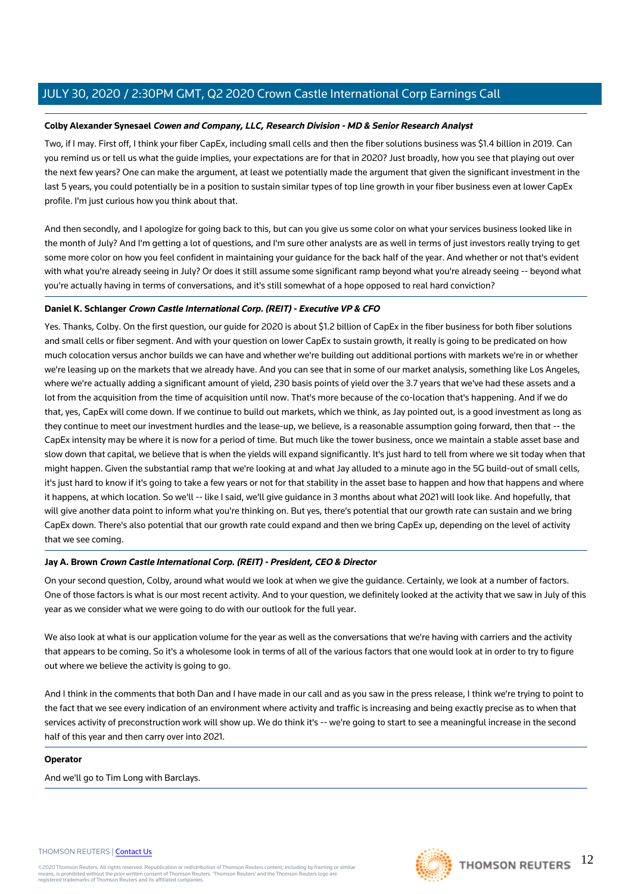### **Colby Alexander Synesael Cowen and Company, LLC, Research Division - MD & Senior Research Analyst**

Two, if I may. First off, I think your fiber CapEx, including small cells and then the fiber solutions business was \$1.4 billion in 2019. Can you remind us or tell us what the guide implies, your expectations are for that in 2020? Just broadly, how you see that playing out over the next few years? One can make the argument, at least we potentially made the argument that given the significant investment in the last 5 years, you could potentially be in a position to sustain similar types of top line growth in your fiber business even at lower CapEx profile. I'm just curious how you think about that.

And then secondly, and I apologize for going back to this, but can you give us some color on what your services business looked like in the month of July? And I'm getting a lot of questions, and I'm sure other analysts are as well in terms of just investors really trying to get some more color on how you feel confident in maintaining your guidance for the back half of the year. And whether or not that's evident with what you're already seeing in July? Or does it still assume some significant ramp beyond what you're already seeing -- beyond what you're actually having in terms of conversations, and it's still somewhat of a hope opposed to real hard conviction?

### **Daniel K. Schlanger Crown Castle International Corp. (REIT) - Executive VP & CFO**

Yes. Thanks, Colby. On the first question, our guide for 2020 is about \$1.2 billion of CapEx in the fiber business for both fiber solutions and small cells or fiber segment. And with your question on lower CapEx to sustain growth, it really is going to be predicated on how much colocation versus anchor builds we can have and whether we're building out additional portions with markets we're in or whether we're leasing up on the markets that we already have. And you can see that in some of our market analysis, something like Los Angeles, where we're actually adding a significant amount of yield, 230 basis points of yield over the 3.7 years that we've had these assets and a lot from the acquisition from the time of acquisition until now. That's more because of the co-location that's happening. And if we do that, yes, CapEx will come down. If we continue to build out markets, which we think, as Jay pointed out, is a good investment as long as they continue to meet our investment hurdles and the lease-up, we believe, is a reasonable assumption going forward, then that -- the CapEx intensity may be where it is now for a period of time. But much like the tower business, once we maintain a stable asset base and slow down that capital, we believe that is when the yields will expand significantly. It's just hard to tell from where we sit today when that might happen. Given the substantial ramp that we're looking at and what Jay alluded to a minute ago in the 5G build-out of small cells, it's just hard to know if it's going to take a few years or not for that stability in the asset base to happen and how that happens and where it happens, at which location. So we'll -- like I said, we'll give guidance in 3 months about what 2021 will look like. And hopefully, that will give another data point to inform what you're thinking on. But yes, there's potential that our growth rate can sustain and we bring CapEx down. There's also potential that our growth rate could expand and then we bring CapEx up, depending on the level of activity that we see coming.

### **Jay A. Brown Crown Castle International Corp. (REIT) - President, CEO & Director**

On your second question, Colby, around what would we look at when we give the guidance. Certainly, we look at a number of factors. One of those factors is what is our most recent activity. And to your question, we definitely looked at the activity that we saw in July of this year as we consider what we were going to do with our outlook for the full year.

We also look at what is our application volume for the year as well as the conversations that we're having with carriers and the activity that appears to be coming. So it's a wholesome look in terms of all of the various factors that one would look at in order to try to figure out where we believe the activity is going to go.

And I think in the comments that both Dan and I have made in our call and as you saw in the press release, I think we're trying to point to the fact that we see every indication of an environment where activity and traffic is increasing and being exactly precise as to when that services activity of preconstruction work will show up. We do think it's -- we're going to start to see a meaningful increase in the second half of this year and then carry over into 2021.

### **Operator**

And we'll go to Tim Long with Barclays.

#### THOMSON REUTERS | [Contact Us](https://my.thomsonreuters.com/ContactUsNew)

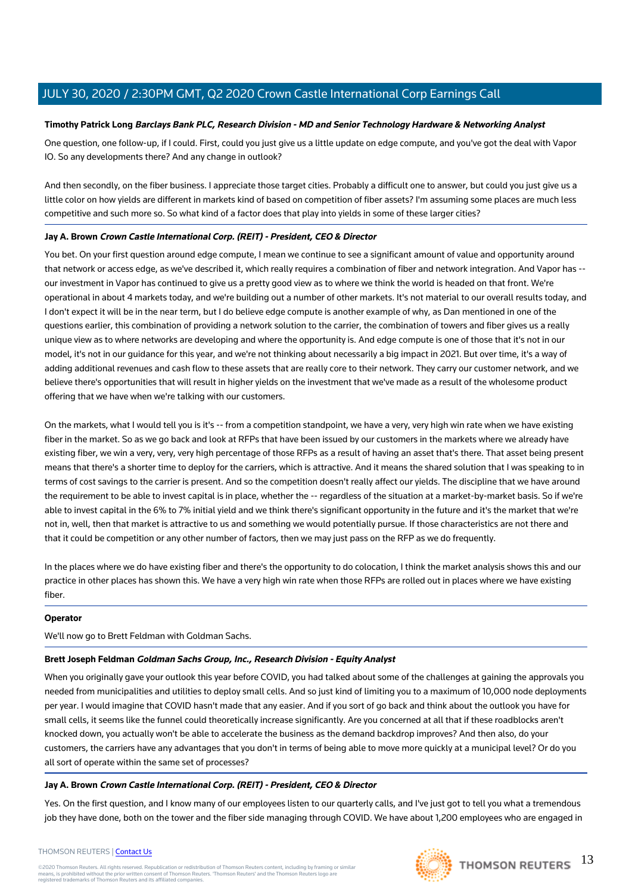### **Timothy Patrick Long Barclays Bank PLC, Research Division - MD and Senior Technology Hardware & Networking Analyst**

One question, one follow-up, if I could. First, could you just give us a little update on edge compute, and you've got the deal with Vapor IO. So any developments there? And any change in outlook?

And then secondly, on the fiber business. I appreciate those target cities. Probably a difficult one to answer, but could you just give us a little color on how yields are different in markets kind of based on competition of fiber assets? I'm assuming some places are much less competitive and such more so. So what kind of a factor does that play into yields in some of these larger cities?

### **Jay A. Brown Crown Castle International Corp. (REIT) - President, CEO & Director**

You bet. On your first question around edge compute, I mean we continue to see a significant amount of value and opportunity around that network or access edge, as we've described it, which really requires a combination of fiber and network integration. And Vapor has - our investment in Vapor has continued to give us a pretty good view as to where we think the world is headed on that front. We're operational in about 4 markets today, and we're building out a number of other markets. It's not material to our overall results today, and I don't expect it will be in the near term, but I do believe edge compute is another example of why, as Dan mentioned in one of the questions earlier, this combination of providing a network solution to the carrier, the combination of towers and fiber gives us a really unique view as to where networks are developing and where the opportunity is. And edge compute is one of those that it's not in our model, it's not in our guidance for this year, and we're not thinking about necessarily a big impact in 2021. But over time, it's a way of adding additional revenues and cash flow to these assets that are really core to their network. They carry our customer network, and we believe there's opportunities that will result in higher yields on the investment that we've made as a result of the wholesome product offering that we have when we're talking with our customers.

On the markets, what I would tell you is it's -- from a competition standpoint, we have a very, very high win rate when we have existing fiber in the market. So as we go back and look at RFPs that have been issued by our customers in the markets where we already have existing fiber, we win a very, very, very high percentage of those RFPs as a result of having an asset that's there. That asset being present means that there's a shorter time to deploy for the carriers, which is attractive. And it means the shared solution that I was speaking to in terms of cost savings to the carrier is present. And so the competition doesn't really affect our yields. The discipline that we have around the requirement to be able to invest capital is in place, whether the -- regardless of the situation at a market-by-market basis. So if we're able to invest capital in the 6% to 7% initial yield and we think there's significant opportunity in the future and it's the market that we're not in, well, then that market is attractive to us and something we would potentially pursue. If those characteristics are not there and that it could be competition or any other number of factors, then we may just pass on the RFP as we do frequently.

In the places where we do have existing fiber and there's the opportunity to do colocation, I think the market analysis shows this and our practice in other places has shown this. We have a very high win rate when those RFPs are rolled out in places where we have existing fiber.

### **Operator**

We'll now go to Brett Feldman with Goldman Sachs.

### **Brett Joseph Feldman Goldman Sachs Group, Inc., Research Division - Equity Analyst**

When you originally gave your outlook this year before COVID, you had talked about some of the challenges at gaining the approvals you needed from municipalities and utilities to deploy small cells. And so just kind of limiting you to a maximum of 10,000 node deployments per year. I would imagine that COVID hasn't made that any easier. And if you sort of go back and think about the outlook you have for small cells, it seems like the funnel could theoretically increase significantly. Are you concerned at all that if these roadblocks aren't knocked down, you actually won't be able to accelerate the business as the demand backdrop improves? And then also, do your customers, the carriers have any advantages that you don't in terms of being able to move more quickly at a municipal level? Or do you all sort of operate within the same set of processes?

### **Jay A. Brown Crown Castle International Corp. (REIT) - President, CEO & Director**

Yes. On the first question, and I know many of our employees listen to our quarterly calls, and I've just got to tell you what a tremendous job they have done, both on the tower and the fiber side managing through COVID. We have about 1,200 employees who are engaged in

#### THOMSON REUTERS | [Contact Us](https://my.thomsonreuters.com/ContactUsNew)

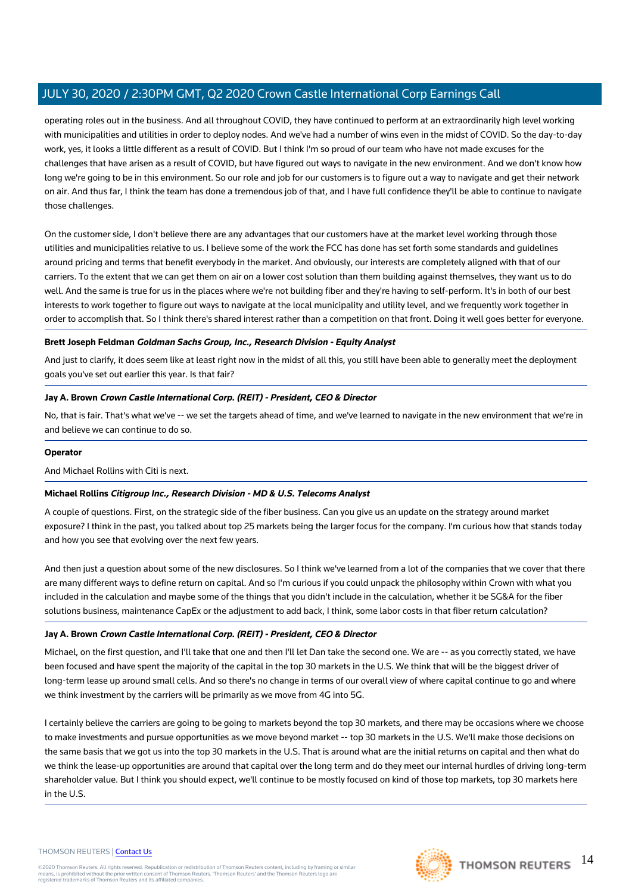operating roles out in the business. And all throughout COVID, they have continued to perform at an extraordinarily high level working with municipalities and utilities in order to deploy nodes. And we've had a number of wins even in the midst of COVID. So the day-to-day work, yes, it looks a little different as a result of COVID. But I think I'm so proud of our team who have not made excuses for the challenges that have arisen as a result of COVID, but have figured out ways to navigate in the new environment. And we don't know how long we're going to be in this environment. So our role and job for our customers is to figure out a way to navigate and get their network on air. And thus far, I think the team has done a tremendous job of that, and I have full confidence they'll be able to continue to navigate those challenges.

On the customer side, I don't believe there are any advantages that our customers have at the market level working through those utilities and municipalities relative to us. I believe some of the work the FCC has done has set forth some standards and guidelines around pricing and terms that benefit everybody in the market. And obviously, our interests are completely aligned with that of our carriers. To the extent that we can get them on air on a lower cost solution than them building against themselves, they want us to do well. And the same is true for us in the places where we're not building fiber and they're having to self-perform. It's in both of our best interests to work together to figure out ways to navigate at the local municipality and utility level, and we frequently work together in order to accomplish that. So I think there's shared interest rather than a competition on that front. Doing it well goes better for everyone.

### **Brett Joseph Feldman Goldman Sachs Group, Inc., Research Division - Equity Analyst**

And just to clarify, it does seem like at least right now in the midst of all this, you still have been able to generally meet the deployment goals you've set out earlier this year. Is that fair?

### **Jay A. Brown Crown Castle International Corp. (REIT) - President, CEO & Director**

No, that is fair. That's what we've -- we set the targets ahead of time, and we've learned to navigate in the new environment that we're in and believe we can continue to do so.

### **Operator**

And Michael Rollins with Citi is next.

### **Michael Rollins Citigroup Inc., Research Division - MD & U.S. Telecoms Analyst**

A couple of questions. First, on the strategic side of the fiber business. Can you give us an update on the strategy around market exposure? I think in the past, you talked about top 25 markets being the larger focus for the company. I'm curious how that stands today and how you see that evolving over the next few years.

And then just a question about some of the new disclosures. So I think we've learned from a lot of the companies that we cover that there are many different ways to define return on capital. And so I'm curious if you could unpack the philosophy within Crown with what you included in the calculation and maybe some of the things that you didn't include in the calculation, whether it be SG&A for the fiber solutions business, maintenance CapEx or the adjustment to add back, I think, some labor costs in that fiber return calculation?

### **Jay A. Brown Crown Castle International Corp. (REIT) - President, CEO & Director**

Michael, on the first question, and I'll take that one and then I'll let Dan take the second one. We are -- as you correctly stated, we have been focused and have spent the majority of the capital in the top 30 markets in the U.S. We think that will be the biggest driver of long-term lease up around small cells. And so there's no change in terms of our overall view of where capital continue to go and where we think investment by the carriers will be primarily as we move from 4G into 5G.

I certainly believe the carriers are going to be going to markets beyond the top 30 markets, and there may be occasions where we choose to make investments and pursue opportunities as we move beyond market -- top 30 markets in the U.S. We'll make those decisions on the same basis that we got us into the top 30 markets in the U.S. That is around what are the initial returns on capital and then what do we think the lease-up opportunities are around that capital over the long term and do they meet our internal hurdles of driving long-term shareholder value. But I think you should expect, we'll continue to be mostly focused on kind of those top markets, top 30 markets here in the  $IIS$ 

#### THOMSON REUTERS | [Contact Us](https://my.thomsonreuters.com/ContactUsNew)

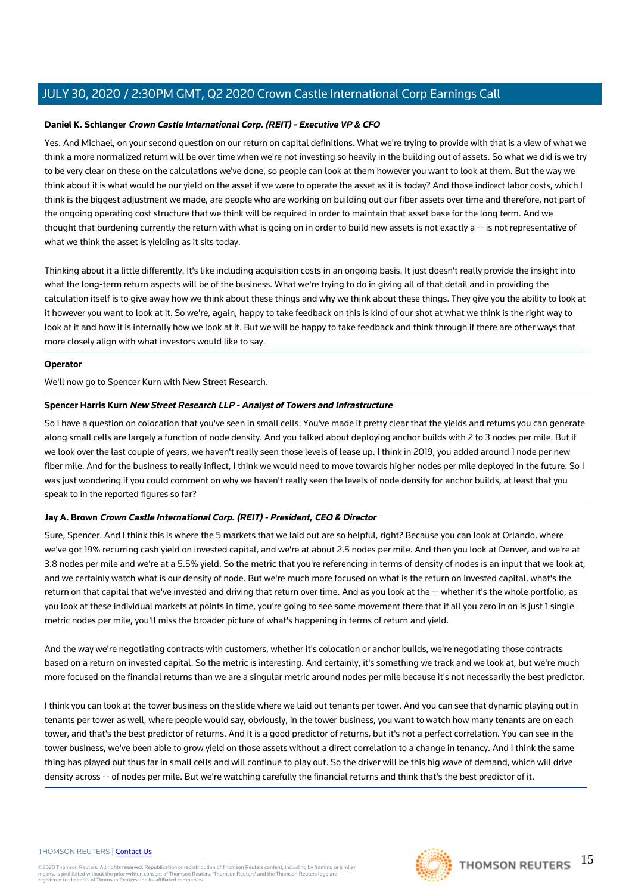### **Daniel K. Schlanger Crown Castle International Corp. (REIT) - Executive VP & CFO**

Yes. And Michael, on your second question on our return on capital definitions. What we're trying to provide with that is a view of what we think a more normalized return will be over time when we're not investing so heavily in the building out of assets. So what we did is we try to be very clear on these on the calculations we've done, so people can look at them however you want to look at them. But the way we think about it is what would be our yield on the asset if we were to operate the asset as it is today? And those indirect labor costs, which I think is the biggest adjustment we made, are people who are working on building out our fiber assets over time and therefore, not part of the ongoing operating cost structure that we think will be required in order to maintain that asset base for the long term. And we thought that burdening currently the return with what is going on in order to build new assets is not exactly a -- is not representative of what we think the asset is yielding as it sits today.

Thinking about it a little differently. It's like including acquisition costs in an ongoing basis. It just doesn't really provide the insight into what the long-term return aspects will be of the business. What we're trying to do in giving all of that detail and in providing the calculation itself is to give away how we think about these things and why we think about these things. They give you the ability to look at it however you want to look at it. So we're, again, happy to take feedback on this is kind of our shot at what we think is the right way to look at it and how it is internally how we look at it. But we will be happy to take feedback and think through if there are other ways that more closely align with what investors would like to say.

### **Operator**

We'll now go to Spencer Kurn with New Street Research.

### **Spencer Harris Kurn New Street Research LLP - Analyst of Towers and Infrastructure**

So I have a question on colocation that you've seen in small cells. You've made it pretty clear that the yields and returns you can generate along small cells are largely a function of node density. And you talked about deploying anchor builds with 2 to 3 nodes per mile. But if we look over the last couple of years, we haven't really seen those levels of lease up. I think in 2019, you added around 1 node per new fiber mile. And for the business to really inflect, I think we would need to move towards higher nodes per mile deployed in the future. So I was just wondering if you could comment on why we haven't really seen the levels of node density for anchor builds, at least that you speak to in the reported figures so far?

### **Jay A. Brown Crown Castle International Corp. (REIT) - President, CEO & Director**

Sure, Spencer. And I think this is where the 5 markets that we laid out are so helpful, right? Because you can look at Orlando, where we've got 19% recurring cash yield on invested capital, and we're at about 2.5 nodes per mile. And then you look at Denver, and we're at 3.8 nodes per mile and we're at a 5.5% yield. So the metric that you're referencing in terms of density of nodes is an input that we look at, and we certainly watch what is our density of node. But we're much more focused on what is the return on invested capital, what's the return on that capital that we've invested and driving that return over time. And as you look at the -- whether it's the whole portfolio, as you look at these individual markets at points in time, you're going to see some movement there that if all you zero in on is just 1 single metric nodes per mile, you'll miss the broader picture of what's happening in terms of return and yield.

And the way we're negotiating contracts with customers, whether it's colocation or anchor builds, we're negotiating those contracts based on a return on invested capital. So the metric is interesting. And certainly, it's something we track and we look at, but we're much more focused on the financial returns than we are a singular metric around nodes per mile because it's not necessarily the best predictor.

I think you can look at the tower business on the slide where we laid out tenants per tower. And you can see that dynamic playing out in tenants per tower as well, where people would say, obviously, in the tower business, you want to watch how many tenants are on each tower, and that's the best predictor of returns. And it is a good predictor of returns, but it's not a perfect correlation. You can see in the tower business, we've been able to grow yield on those assets without a direct correlation to a change in tenancy. And I think the same thing has played out thus far in small cells and will continue to play out. So the driver will be this big wave of demand, which will drive density across -- of nodes per mile. But we're watching carefully the financial returns and think that's the best predictor of it.

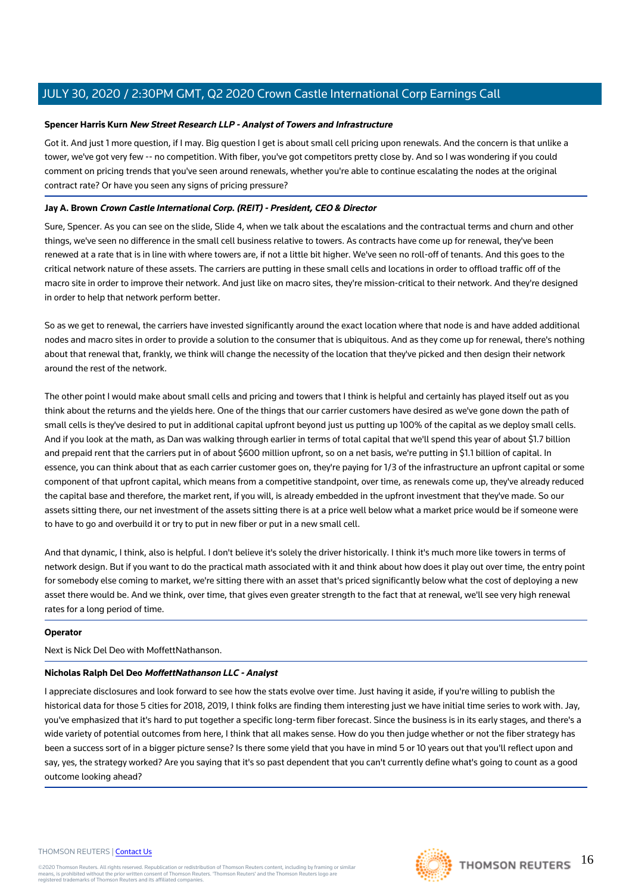### **Spencer Harris Kurn New Street Research LLP - Analyst of Towers and Infrastructure**

Got it. And just 1 more question, if I may. Big question I get is about small cell pricing upon renewals. And the concern is that unlike a tower, we've got very few -- no competition. With fiber, you've got competitors pretty close by. And so I was wondering if you could comment on pricing trends that you've seen around renewals, whether you're able to continue escalating the nodes at the original contract rate? Or have you seen any signs of pricing pressure?

### **Jay A. Brown Crown Castle International Corp. (REIT) - President, CEO & Director**

Sure, Spencer. As you can see on the slide, Slide 4, when we talk about the escalations and the contractual terms and churn and other things, we've seen no difference in the small cell business relative to towers. As contracts have come up for renewal, they've been renewed at a rate that is in line with where towers are, if not a little bit higher. We've seen no roll-off of tenants. And this goes to the critical network nature of these assets. The carriers are putting in these small cells and locations in order to offload traffic off of the macro site in order to improve their network. And just like on macro sites, they're mission-critical to their network. And they're designed in order to help that network perform better.

So as we get to renewal, the carriers have invested significantly around the exact location where that node is and have added additional nodes and macro sites in order to provide a solution to the consumer that is ubiquitous. And as they come up for renewal, there's nothing about that renewal that, frankly, we think will change the necessity of the location that they've picked and then design their network around the rest of the network.

The other point I would make about small cells and pricing and towers that I think is helpful and certainly has played itself out as you think about the returns and the yields here. One of the things that our carrier customers have desired as we've gone down the path of small cells is they've desired to put in additional capital upfront beyond just us putting up 100% of the capital as we deploy small cells. And if you look at the math, as Dan was walking through earlier in terms of total capital that we'll spend this year of about \$1.7 billion and prepaid rent that the carriers put in of about \$600 million upfront, so on a net basis, we're putting in \$1.1 billion of capital. In essence, you can think about that as each carrier customer goes on, they're paying for 1/3 of the infrastructure an upfront capital or some component of that upfront capital, which means from a competitive standpoint, over time, as renewals come up, they've already reduced the capital base and therefore, the market rent, if you will, is already embedded in the upfront investment that they've made. So our assets sitting there, our net investment of the assets sitting there is at a price well below what a market price would be if someone were to have to go and overbuild it or try to put in new fiber or put in a new small cell.

And that dynamic, I think, also is helpful. I don't believe it's solely the driver historically. I think it's much more like towers in terms of network design. But if you want to do the practical math associated with it and think about how does it play out over time, the entry point for somebody else coming to market, we're sitting there with an asset that's priced significantly below what the cost of deploying a new asset there would be. And we think, over time, that gives even greater strength to the fact that at renewal, we'll see very high renewal rates for a long period of time.

### **Operator**

Next is Nick Del Deo with MoffettNathanson.

### **Nicholas Ralph Del Deo MoffettNathanson LLC - Analyst**

I appreciate disclosures and look forward to see how the stats evolve over time. Just having it aside, if you're willing to publish the historical data for those 5 cities for 2018, 2019, I think folks are finding them interesting just we have initial time series to work with. Jay, you've emphasized that it's hard to put together a specific long-term fiber forecast. Since the business is in its early stages, and there's a wide variety of potential outcomes from here, I think that all makes sense. How do you then judge whether or not the fiber strategy has been a success sort of in a bigger picture sense? Is there some yield that you have in mind 5 or 10 years out that you'll reflect upon and say, yes, the strategy worked? Are you saying that it's so past dependent that you can't currently define what's going to count as a good outcome looking ahead?

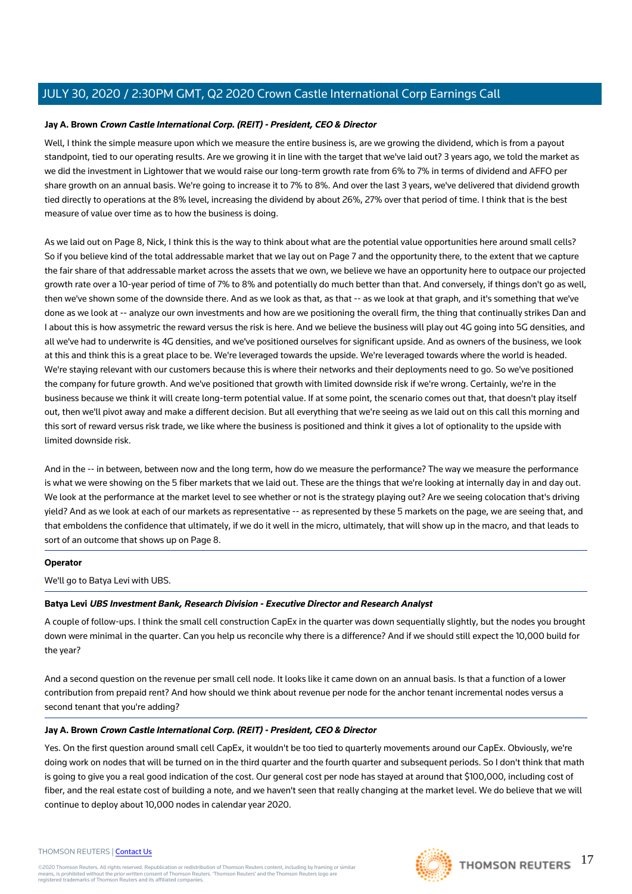### **Jay A. Brown Crown Castle International Corp. (REIT) - President, CEO & Director**

Well, I think the simple measure upon which we measure the entire business is, are we growing the dividend, which is from a payout standpoint, tied to our operating results. Are we growing it in line with the target that we've laid out? 3 years ago, we told the market as we did the investment in Lightower that we would raise our long-term growth rate from 6% to 7% in terms of dividend and AFFO per share growth on an annual basis. We're going to increase it to 7% to 8%. And over the last 3 years, we've delivered that dividend growth tied directly to operations at the 8% level, increasing the dividend by about 26%, 27% over that period of time. I think that is the best measure of value over time as to how the business is doing.

As we laid out on Page 8, Nick, I think this is the way to think about what are the potential value opportunities here around small cells? So if you believe kind of the total addressable market that we lay out on Page 7 and the opportunity there, to the extent that we capture the fair share of that addressable market across the assets that we own, we believe we have an opportunity here to outpace our projected growth rate over a 10-year period of time of 7% to 8% and potentially do much better than that. And conversely, if things don't go as well, then we've shown some of the downside there. And as we look as that, as that -- as we look at that graph, and it's something that we've done as we look at -- analyze our own investments and how are we positioning the overall firm, the thing that continually strikes Dan and I about this is how assymetric the reward versus the risk is here. And we believe the business will play out 4G going into 5G densities, and all we've had to underwrite is 4G densities, and we've positioned ourselves for significant upside. And as owners of the business, we look at this and think this is a great place to be. We're leveraged towards the upside. We're leveraged towards where the world is headed. We're staying relevant with our customers because this is where their networks and their deployments need to go. So we've positioned the company for future growth. And we've positioned that growth with limited downside risk if we're wrong. Certainly, we're in the business because we think it will create long-term potential value. If at some point, the scenario comes out that, that doesn't play itself out, then we'll pivot away and make a different decision. But all everything that we're seeing as we laid out on this call this morning and this sort of reward versus risk trade, we like where the business is positioned and think it gives a lot of optionality to the upside with limited downside risk.

And in the -- in between, between now and the long term, how do we measure the performance? The way we measure the performance is what we were showing on the 5 fiber markets that we laid out. These are the things that we're looking at internally day in and day out. We look at the performance at the market level to see whether or not is the strategy playing out? Are we seeing colocation that's driving yield? And as we look at each of our markets as representative -- as represented by these 5 markets on the page, we are seeing that, and that emboldens the confidence that ultimately, if we do it well in the micro, ultimately, that will show up in the macro, and that leads to sort of an outcome that shows up on Page 8.

### **Operator**

We'll go to Batya Levi with UBS.

### **Batya Levi UBS Investment Bank, Research Division - Executive Director and Research Analyst**

A couple of follow-ups. I think the small cell construction CapEx in the quarter was down sequentially slightly, but the nodes you brought down were minimal in the quarter. Can you help us reconcile why there is a difference? And if we should still expect the 10,000 build for the year?

And a second question on the revenue per small cell node. It looks like it came down on an annual basis. Is that a function of a lower contribution from prepaid rent? And how should we think about revenue per node for the anchor tenant incremental nodes versus a second tenant that you're adding?

### **Jay A. Brown Crown Castle International Corp. (REIT) - President, CEO & Director**

Yes. On the first question around small cell CapEx, it wouldn't be too tied to quarterly movements around our CapEx. Obviously, we're doing work on nodes that will be turned on in the third quarter and the fourth quarter and subsequent periods. So I don't think that math is going to give you a real good indication of the cost. Our general cost per node has stayed at around that \$100,000, including cost of fiber, and the real estate cost of building a note, and we haven't seen that really changing at the market level. We do believe that we will continue to deploy about 10,000 nodes in calendar year 2020.

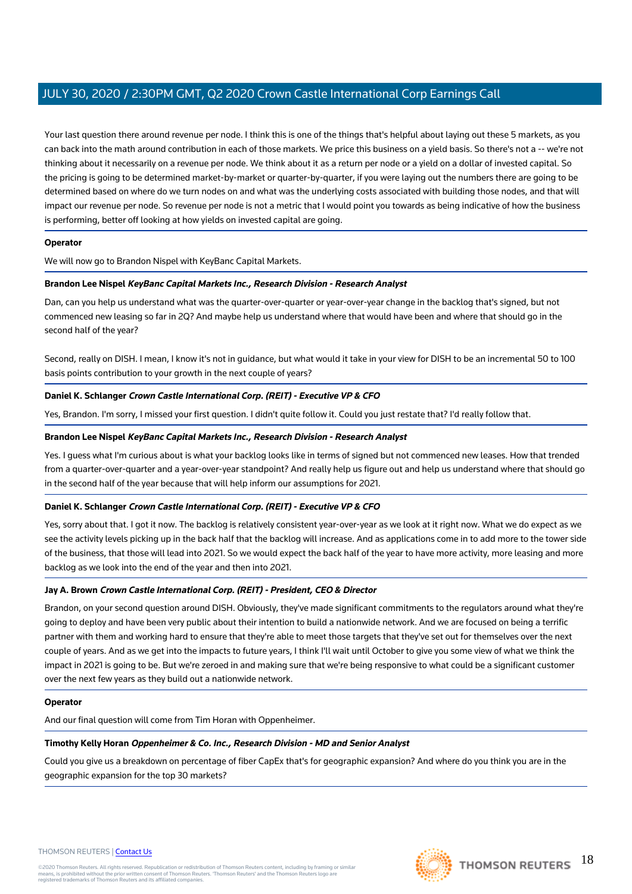Your last question there around revenue per node. I think this is one of the things that's helpful about laying out these 5 markets, as you can back into the math around contribution in each of those markets. We price this business on a yield basis. So there's not a -- we're not thinking about it necessarily on a revenue per node. We think about it as a return per node or a yield on a dollar of invested capital. So the pricing is going to be determined market-by-market or quarter-by-quarter, if you were laying out the numbers there are going to be determined based on where do we turn nodes on and what was the underlying costs associated with building those nodes, and that will impact our revenue per node. So revenue per node is not a metric that I would point you towards as being indicative of how the business is performing, better off looking at how yields on invested capital are going.

### **Operator**

We will now go to Brandon Nispel with KeyBanc Capital Markets.

### **Brandon Lee Nispel KeyBanc Capital Markets Inc., Research Division - Research Analyst**

Dan, can you help us understand what was the quarter-over-quarter or year-over-year change in the backlog that's signed, but not commenced new leasing so far in 2Q? And maybe help us understand where that would have been and where that should go in the second half of the year?

Second, really on DISH. I mean, I know it's not in guidance, but what would it take in your view for DISH to be an incremental 50 to 100 basis points contribution to your growth in the next couple of years?

### **Daniel K. Schlanger Crown Castle International Corp. (REIT) - Executive VP & CFO**

Yes, Brandon. I'm sorry, I missed your first question. I didn't quite follow it. Could you just restate that? I'd really follow that.

### **Brandon Lee Nispel KeyBanc Capital Markets Inc., Research Division - Research Analyst**

Yes. I guess what I'm curious about is what your backlog looks like in terms of signed but not commenced new leases. How that trended from a quarter-over-quarter and a year-over-year standpoint? And really help us figure out and help us understand where that should go in the second half of the year because that will help inform our assumptions for 2021.

### **Daniel K. Schlanger Crown Castle International Corp. (REIT) - Executive VP & CFO**

Yes, sorry about that. I got it now. The backlog is relatively consistent year-over-year as we look at it right now. What we do expect as we see the activity levels picking up in the back half that the backlog will increase. And as applications come in to add more to the tower side of the business, that those will lead into 2021. So we would expect the back half of the year to have more activity, more leasing and more backlog as we look into the end of the year and then into 2021.

### **Jay A. Brown Crown Castle International Corp. (REIT) - President, CEO & Director**

Brandon, on your second question around DISH. Obviously, they've made significant commitments to the regulators around what they're going to deploy and have been very public about their intention to build a nationwide network. And we are focused on being a terrific partner with them and working hard to ensure that they're able to meet those targets that they've set out for themselves over the next couple of years. And as we get into the impacts to future years, I think I'll wait until October to give you some view of what we think the impact in 2021 is going to be. But we're zeroed in and making sure that we're being responsive to what could be a significant customer over the next few years as they build out a nationwide network.

### **Operator**

And our final question will come from Tim Horan with Oppenheimer.

### **Timothy Kelly Horan Oppenheimer & Co. Inc., Research Division - MD and Senior Analyst**

Could you give us a breakdown on percentage of fiber CapEx that's for geographic expansion? And where do you think you are in the geographic expansion for the top 30 markets?

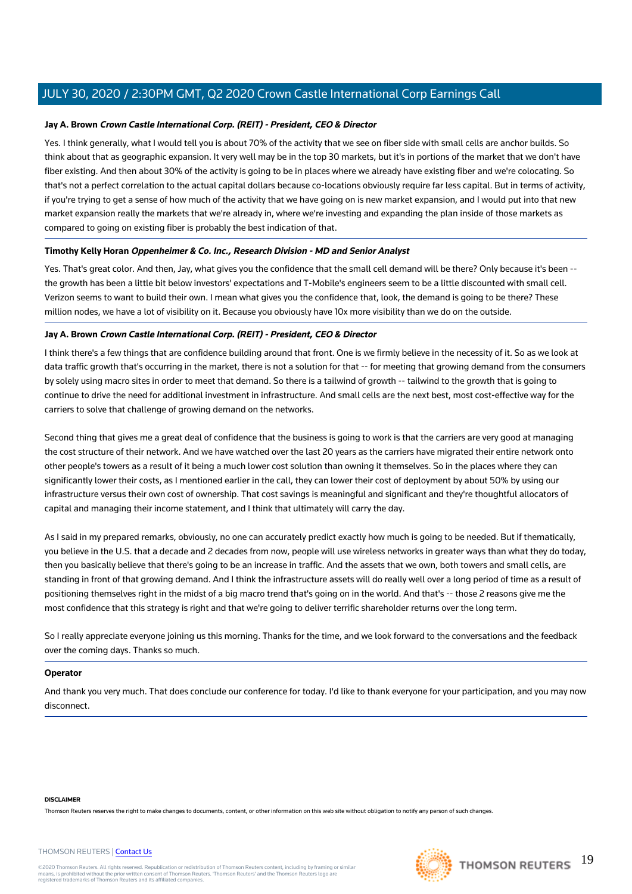### **Jay A. Brown Crown Castle International Corp. (REIT) - President, CEO & Director**

Yes. I think generally, what I would tell you is about 70% of the activity that we see on fiber side with small cells are anchor builds. So think about that as geographic expansion. It very well may be in the top 30 markets, but it's in portions of the market that we don't have fiber existing. And then about 30% of the activity is going to be in places where we already have existing fiber and we're colocating. So that's not a perfect correlation to the actual capital dollars because co-locations obviously require far less capital. But in terms of activity, if you're trying to get a sense of how much of the activity that we have going on is new market expansion, and I would put into that new market expansion really the markets that we're already in, where we're investing and expanding the plan inside of those markets as compared to going on existing fiber is probably the best indication of that.

### **Timothy Kelly Horan Oppenheimer & Co. Inc., Research Division - MD and Senior Analyst**

Yes. That's great color. And then, Jay, what gives you the confidence that the small cell demand will be there? Only because it's been -the growth has been a little bit below investors' expectations and T-Mobile's engineers seem to be a little discounted with small cell. Verizon seems to want to build their own. I mean what gives you the confidence that, look, the demand is going to be there? These million nodes, we have a lot of visibility on it. Because you obviously have 10x more visibility than we do on the outside.

### **Jay A. Brown Crown Castle International Corp. (REIT) - President, CEO & Director**

I think there's a few things that are confidence building around that front. One is we firmly believe in the necessity of it. So as we look at data traffic growth that's occurring in the market, there is not a solution for that -- for meeting that growing demand from the consumers by solely using macro sites in order to meet that demand. So there is a tailwind of growth -- tailwind to the growth that is going to continue to drive the need for additional investment in infrastructure. And small cells are the next best, most cost-effective way for the carriers to solve that challenge of growing demand on the networks.

Second thing that gives me a great deal of confidence that the business is going to work is that the carriers are very good at managing the cost structure of their network. And we have watched over the last 20 years as the carriers have migrated their entire network onto other people's towers as a result of it being a much lower cost solution than owning it themselves. So in the places where they can significantly lower their costs, as I mentioned earlier in the call, they can lower their cost of deployment by about 50% by using our infrastructure versus their own cost of ownership. That cost savings is meaningful and significant and they're thoughtful allocators of capital and managing their income statement, and I think that ultimately will carry the day.

As I said in my prepared remarks, obviously, no one can accurately predict exactly how much is going to be needed. But if thematically, you believe in the U.S. that a decade and 2 decades from now, people will use wireless networks in greater ways than what they do today, then you basically believe that there's going to be an increase in traffic. And the assets that we own, both towers and small cells, are standing in front of that growing demand. And I think the infrastructure assets will do really well over a long period of time as a result of positioning themselves right in the midst of a big macro trend that's going on in the world. And that's -- those 2 reasons give me the most confidence that this strategy is right and that we're going to deliver terrific shareholder returns over the long term.

So I really appreciate everyone joining us this morning. Thanks for the time, and we look forward to the conversations and the feedback over the coming days. Thanks so much.

### **Operator**

And thank you very much. That does conclude our conference for today. I'd like to thank everyone for your participation, and you may now disconnect.

#### **DISCLAIMER**

Thomson Reuters reserves the right to make changes to documents, content, or other information on this web site without obligation to notify any person of such changes